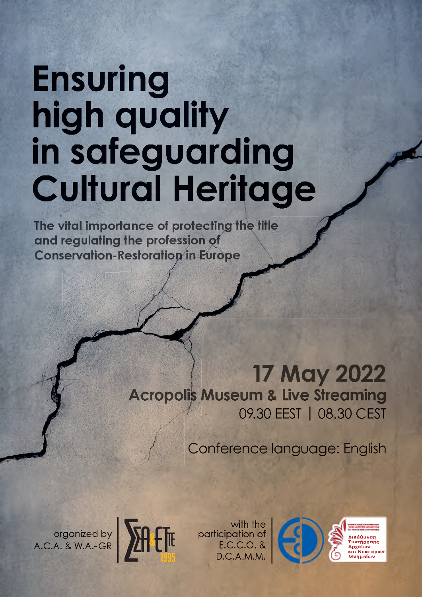# **Ensuring** high quality **in safeguarding Cultural Heritage**

**The vital importance of protecting the title and regulating the profession of Conservation-Restoration in Europe** 

# 17 May 2022 **Acropolis Museum & Live Streaming** 09.30 EEST | 08.30 CEST

Conference language: English

organized by A.C.A. & W.A.-GR



with the participation of E.C.C.O. & D.C.A.M.M.

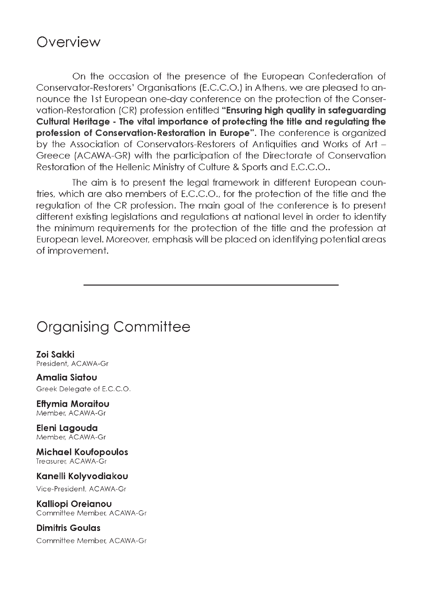# **Overview**

On the occasion of the presence of the European Confederation of Conservator-Restorers' Organisations (E.C.C.O.) in Athens, we are pleased to announce the 1st European one-day conference on the protection of the Conservation-Restoration (CR) profession entitled **"Ensuring high quality in safeguarding Cultural Heritage - The vital importance of protecting the title and regulating the profession of Conservation-Restoration in Europe"**. The conference is organized by the Association of Conservators-Restorers of Antiquities and Works of Art - Greece (ACAWA-GR) with the participation of the Directorate of Conservation Restoration of the Hellenic Ministry of Culture & Sports and E.C.C.O..

The aim is to present the legal framework in different European countries, which are also members of E.C.C.O., for the protection of the title and the regulation of the CR profession. The main goal of the conference is to present different existing legislations and regulations at national level in order to identify the minimum requirements for the protection of the title and the profession at European level. Moreover, emphasis will be placed on identifying potential areas of improvement.

# Organising Committee

**Zoi Sakki** President, ACAWA-Gr

**Amalia Siatou** Greek Delegate of E.C.C.O.

**Eftymia Moraitou** Member, ACAWA-Gr

**Eleni Lagouda** Member, ACAWA-Gr

**Michael Koufopoulos** Treasurer, ACAWA-Gr

**Kanelli Kolyvodiakou**

Vice-President, ACAWA-Gr

**Kalliopi Oreianou** Committee Member, ACAWA-Gr

**Dimitris Goulas** Committee Member, ACAWA-Gr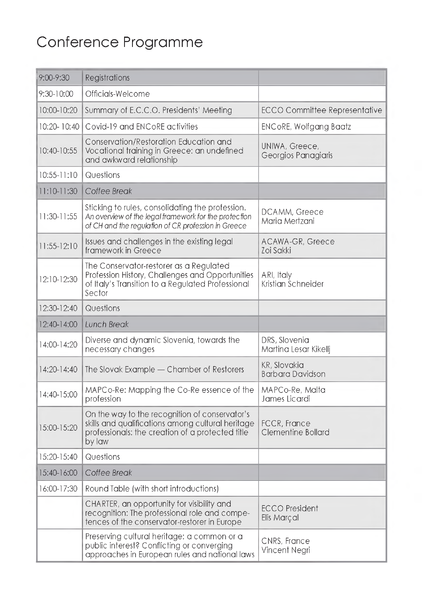# Conference Programme

| 9:00-9:30   | Registrations                                                                                                                                                     |                                         |
|-------------|-------------------------------------------------------------------------------------------------------------------------------------------------------------------|-----------------------------------------|
| 9:30-10:00  | Officials-Welcome                                                                                                                                                 |                                         |
| 10:00-10:20 | Summary of E.C.C.O. Presidents' Meeting                                                                                                                           | ECCO Committee Representative           |
| 10:20-10:40 | Covid-19 and ENCoRE activities                                                                                                                                    | ENCoRE, Wolfgang Baatz                  |
| 10:40-10:55 | Conservation/Restoration Education and<br>Vocational training in Greece: an undefined<br>and awkward relationship                                                 | UNIWA, Greece,<br>Georgios Panagiaris   |
| 10:55-11:10 | Questions                                                                                                                                                         |                                         |
| 11:10-11:30 | Coffee Break                                                                                                                                                      |                                         |
| 11:30-11:55 | Sticking to rules, consolidating the profession.<br>An overview of the legal framework for the protection<br>of CH and the regulation of CR profession in Greece  | DCAMM, Greece<br>Maria Mertzani         |
| 11:55-12:10 | Issues and challenges in the existing legal<br>framework in Greece                                                                                                | ACAWA-GR, Greece<br>Zoi Sakki           |
| 12:10-12:30 | The Conservator-restorer as a Regulated<br>Profession History, Challenges and Opportunities<br>of Italy's Transition to a Regulated Professional<br>Sector        | ARI, Italy<br>Kristian Schneider        |
| 12:30-12:40 | Questions                                                                                                                                                         |                                         |
| 12:40-14:00 | Lunch Break                                                                                                                                                       |                                         |
| 14:00-14:20 | Diverse and dynamic Slovenia, towards the<br>necessary changes                                                                                                    | DRS, Slovenia<br>Martina Lesar Kikelli  |
| 14:20-14:40 | The Slovak Example — Chamber of Restorers                                                                                                                         | KR, Slovakia<br><b>Barbara Davidson</b> |
| 14:40-15:00 | MAPCo-Re: Mapping the Co-Re essence of the<br>profession                                                                                                          | MAPCo-Re, Malta<br>James Licardi        |
| 15:00-15:20 | On the way to the recognition of conservator's<br>skills and qualifications among cultural heritage<br>professionals: the creation of a protected title<br>by law | FCCR, France<br>Clementine Bollard      |
| 15:20-15:40 | Questions                                                                                                                                                         |                                         |
| 15:40-16:00 | Coffee Break                                                                                                                                                      |                                         |
| 16:00-17:30 | Round Table (with short introductions)                                                                                                                            |                                         |
|             | CHARTER, an opportunity for visibility and<br>recognition: The professional role and compe-<br>tences of the conservator-restorer in Europe                       | <b>ECCO</b> President<br>Elis Marçal    |
|             | Preserving cultural heritage: a common or a<br>public interest? Conflicting or converging<br>approaches in European rules and national laws                       | CNRS, France<br>Vincent Negri           |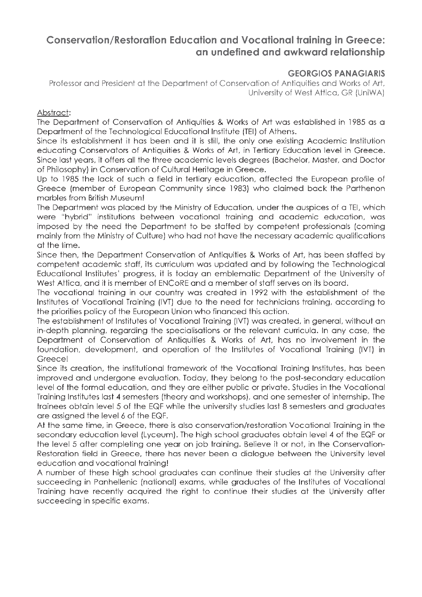# **Conservation/Restoration Education and Vocational training in Greece: an undefined and awkward relationship**

#### **GEORGIOS PANAGIARIS**

Professor and President at the Department of Conservation of Antiquities and Works of Art, University of West Attica, GR (UniWA)

#### Abstract:

The Department of Conservation of Antiquities & Works of Art was established in 1985 as a Department of the Technological Educational Institute (TEI) of Athens.

Since its establishment it has been and it is still, the only one existing Academic Institution educating Conservators of Antiquities & Works of Art, in Tertiary Education level in Greece. Since last years, it offers all the three academic levels degrees (Bachelor, Master, and Doctor of Philosophy) in Conservation of Cultural Heritage in Greece.

Up to 1985 the lack of such a field in tertiary education, affected the European profile of Greece (member of European Community since 1983) who claimed back the Parthenon marbles from British Museum!

The Department was placed by the Ministry of Education, under the auspices of a TEL which were "hybrid" institutions between vocational training and academic education, was imposed by the need the Department to be staffed by competent professionals (coming mainly from the Ministry of Culture) who had not have the necessary academic qualifications at the time.

Since then, the Department Conservation of Antiquities & Works of Art, has been staffed by competent academic staff, its curriculum was updated and by following the Technological Educational Institutes' progress, it is today an emblematic Department of the University of West Attica, and it is member of ENCoRE and a member of staff serves on its board.

The vocational training in our country was created in 1992 with the establishment of the Institutes of Vocational Training (IVT) due to the need for technicians training, according to the priorities policy of the European Union who financed this action.

The establishment of Institutes of Vocational Training (IVT) was created, in general, without an in-depth planning, regarding the specialisations or the relevant curricula. In any case, the Department of Conservation of Antiquities & Works of Art, has no involvement in the foundation, development, and operation of the Institutes of Vocational Training (IVT) in Greece!

Since its creation, the institutional framework of the Vocational Training Institutes, has been improved and undergone evaluation. Today, they belong to the post-secondary education level of the formal education, and they are either public or private. Studies in the Vocational Training Institutes last 4 semesters (theory and workshops), and one semester of internship. The trainees obtain level 5 of the EQF while the university studies last 8 semesters and graduates are assigned the level 6 of the EQF.

At the same time, in Greece, there is also conservation/restoration Vocational Training in the secondary education level (Lyceum). The high school graduates obtain level 4 of the EQF or the level 5 after completing one year on job training. Believe it or not, in the Conservation-Restoration field in Greece, there has never been a dialogue between the University level education and vocational training!

A number of these high school graduates can continue their studies at the University after succeeding in Panhellenic (national) exams, while graduates of the Institutes of Vocational Training have recently acquired the right to continue their studies at the University after succeeding in specific exams.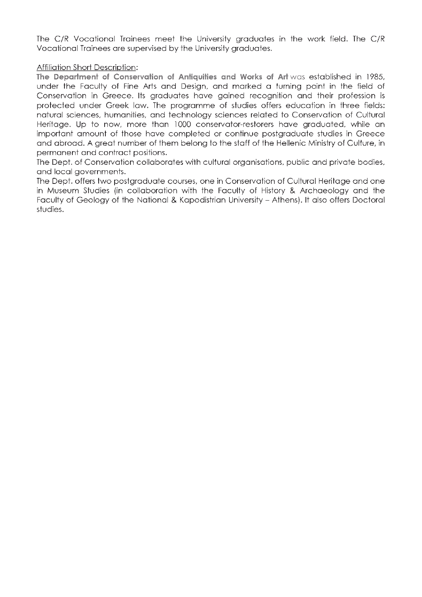The C/R Vocational Trainees meet the University graduates in the work field. The C/R Vocational Trainees are supervised by the University graduates.

#### Affiliation Short Description:

**The Department of Conservation of Antiquities and Works of Art** was established in 1985. under the Faculty of Fine Arts and Design, and marked a turning point in the field of Conservation in Greece. Its graduates have gained recognition and their profession is protected under Greek law. The programme of studies offers education in three fields: natural sciences, humanities, and technology sciences related to Conservation of Cultural Fleritage. Up to now, more than 1000 conservator-restorers have graduated, while an important amount of those have completed or continue postgraduate studies in Greece and abroad. A great number of them belong to the staff of the Hellenic Ministry of Culture, in permanent and contract positions.

The Dept, of Conservation collaborates with cultural organisations, public and private bodies, and local governments.

The Dept, offers two postgraduate courses, one in Conservation of Cultural Heritage and one in Museum Studies (in collaboration with the Faculty of History & Archaeology and the Faculty of Geology of the National & Kapodistrian University - Athens). It also offers Doctoral studies.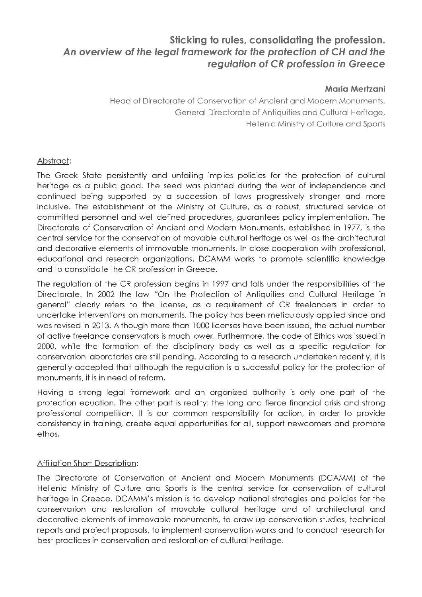# **Sticking to rules, consolidating the profession.** *An overview of the legal framework for the protection of CH and the regulation of CR profession in Greece*

#### **Maria Mertzani**

Head of Directorate of Conservation of Ancient and Modern Monuments, General Directorate of Antiquities and Cultural Heritage, Hellenic Ministry of Culture and Sports

#### Abstract:

The Greek State persistently and unfailing implies policies for the protection of cultural heritage as a public good. The seed was planted during the war of independence and continued being supported by a succession of laws progressively stronger and more inclusive. The establishment of the Ministry of Culture, as a robust, structured service of committed personnel and well defined procedures, guarantees policy implementation. The Directorate of Conservation of Ancient and Modern Monuments, established in 1977, is the central service for the conservation of movable cultural heritage as well as the architectural and decorative elements of immovable monuments. In close cooperation with professional, educational and research organizations, DCAMM works to promote scientific knowledge and to consolidate the CR profession in Greece.

The regulation of the CR profession begins in 1997 and falls under the responsibilities of the Directorate. In 2002 the law "On the Protection of Antiquities and Cultural Heritage in general" clearly refers to the license, as a requirement of CR freelancers in order to undertake interventions on monuments. The policy has been meticulously applied since and was revised in 2013. Although more than 1000 licenses have been issued, the actual number of active freelance conservators is much lower. Furthermore, the code of Ethics was issued in 2000, while the formation of the disciplinary body as well as a specific regulation for conservation laboratories are still pending. According to a research undertaken recently, it is generally accepted that although the regulation is a successful policy for the protection of monuments, it is in need of reform.

Having a strong legal framework and an organized authority is only one part of the protection equation. The other part is reality: the long and fierce financial crisis and strong professional competition. It is our common responsibility for action, in order to provide consistency in training, create equal opportunities for all, support newcomers and promote ethos.

#### Affiliation Short Description:

The Directorate of Conservation of Ancient and Modern Monuments (DCAMM) of the Hellenic Ministry of Culture and Sports is the central service for conservation of cultural heritage in Greece. DCAMM's mission is to develop national strategies and policies for the conservation and restoration of movable cultural heritage and of architectural and decorative elements of immovable monuments, to draw up conservation studies, technical reports and project proposals, to implement conservation works and to conduct research for best practices in conservation and restoration of cultural heritage.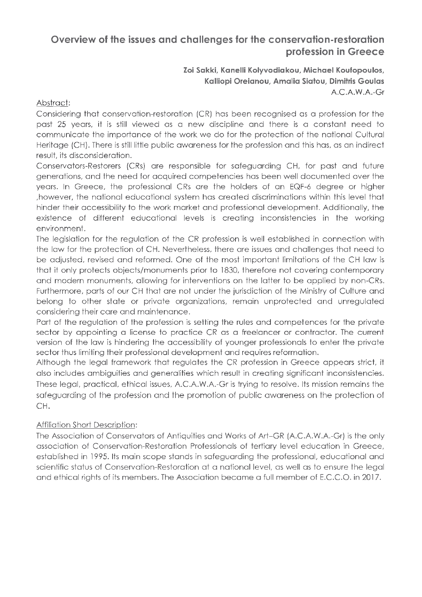# **Overview of the issues and challenges for the conservation-restoration profession in Greece**

**Zoi Sakki, Kanelli Kolyvodiakou, Michael Koufopoulos, Kalliopi Oreianou, Amalia Siatou, Dimitris Goulas** A.C.A.W.A.-Gr

#### Abstract:

Considering that conservation-restoration (CR) has been recognised as a profession for the past 25 years, it is still viewed as a new discipline and there is a constant need to communicate the importance of the work we do for the protection of the national Cultural Heritage (CH). There is still little public awareness for the profession and this has, as an indirect result, its disconsideration.

Conservators-Restorers (CRs) are responsible for safeguarding CH, for past and future generations, and the need for acquired competencies has been well documented over the years. In Greece, the professional CRs are the holders of an EQF-6 degree or higher ,however, the national educational system has created discriminations within this level that hinder their accessibility to the work market and professional development. Additionally, the existence of different educational levels is creating inconsistencies in the working environment.

The legislation for the regulation of the CR profession is well established in connection with the law for the protection of CH. Nevertheless, there are issues and challenges that need to be adjusted, revised and reformed. One of the most important limitations of the CH law is that it only protects objects/monuments prior to 1830, therefore not covering contemporary and modern monuments, allowing for interventions on the latter to be applied by non-CRs. Furthermore, parts of our CH that are not under the jurisdiction of the Ministry of Culture and belong to other state or private organizations, remain unprotected and unregulated considering their care and maintenance.

Part of the regulation of the profession is setting the rules and competences for the private sector by appointing a license to practice CR as a freelancer or contractor. The current version of the law is hindering the accessibility of younger professionals to enter the private sector thus limiting their professional development and requires reformation.

Although the legal framework that regulates the CR profession in Greece appears strict, it also includes ambiguities and generalities which result in creating significant inconsistencies. These legal, practical, ethical issues, A.C.A.W.A.-Gr is trying to resolve. Its mission remains the safeguarding of the profession and the promotion of public awareness on the protection of CH.

#### Affiliation Short Description:

The Association of Conservators of Antiquities and Works of Art-GR (A.C.A.W.A.-Gr) is the only association of Conservation-Restoration Professionals of tertiary level education in Greece, established in 1995. Its main scope stands in safeguarding the professional, educational and scientific status of Conservation-Restoration at a national level, as well as to ensure the legal and ethical rights of its members. The Association became a full member of E.C.C.O. in 2017.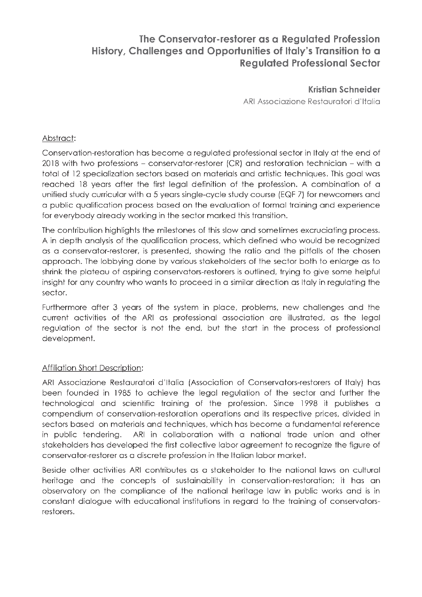# **The Conservator-restorer as a Regulated Profession History, Challenges and Opportunities of Italy's Transition to a Regulated Professional Sector**

#### **Kristian Schneider**

ARI Associazione Restauratori d'Italia

#### Abstract:

Conservation-restoration has become a regulated professional sector in Italy at the end of 2018 with two professions - conservator-restorer (CR) and restoration technician - with a total of 12 specialization sectors based on materials and artistic techniques. This goal was reached 18 years after the first legal definition of the profession. A combination of a unified study curricular with a 5 years single-cycle study course (EQF 7) for newcomers and a public qualification process based on the evaluation of formal training and experience for everybody already working in the sector marked this transition.

The contribution highlights the milestones of this slow and sometimes excruciating process. A in depth analysis of the qualification process, which defined who would be recognized as a conservator-restorer, is presented, showing the ratio and the pitfalls of the chosen approach. The lobbying done by various stakeholders of the sector both to enlarge as to shrink the plateau of aspiring conservators-restorers is outlined, trying to give some helpful insight for any country who wants to proceed in a similar direction as Italy in regulating the sector.

Furthermore after 3 years of the system in place, problems, new challenges and the current activities of the ARI as professional association are illustrated, as the legal regulation of the sector is not the end, but the start in the process of professional development.

#### Affiliation Short Description:

ARI Associazione Restauratori d'Italia (Association of Conservators-restorers of Italy) has been founded in 1985 to achieve the legal regulation of the sector and further the technological and scientific training of the profession. Since 1998 it publishes a compendium of conservation-restoration operations and its respective prices, divided in sectors based on materials and techniques, which has become a fundamental reference in public tendering. ARI in collaboration with a national trade union and other stakeholders has developed the first collective labor agreement to recognize the figure of conservator-restorer as a discrete profession in the Italian labor market.

Beside other activities ARI contributes as a stakeholder to the national laws on cultural heritage and the concepts of sustainability in conservation-restoration; it has an observatory on the compliance of the national heritage law in public works and is in constant dialogue with educational institutions in regard to the training of conservatorsrestorers.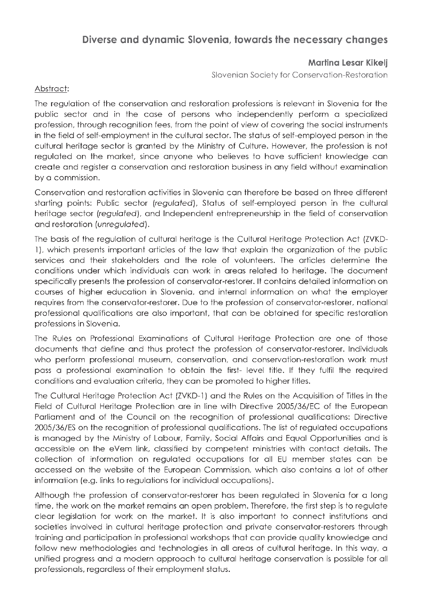# **Diverse and dynamic Slovenia, towards the necessary changes**

#### **Martina Lesar Kikelj**

Slovenian Society for Conservation-Restoration

#### Abstract:

The regulation of the conservation and restoration professions is relevant in Slovenia for the public sector and in the case of persons who independently perform a specialized profession, through recognition fees, from the point of view of covering the social instruments in the field of self-employment in the cultural sector. The status of self-employed person in the cultural heritage sector is granted by the Ministry of Culture. However, the profession is not regulated on the market, since anyone who believes to have sufficient knowledge can create and register a conservation and restoration business in any field without examination by a commission.

Conservation and restoration activities in Slovenia can therefore be based on three different starting points: Public sector *(regulated),* Status of self-employed person in the cultural heritage sector (*regulated*), and Independent entrepreneurship in the field of conservation and restoration (*unregulated*).

The basis of the regulation of cultural heritage is the Cultural Heritage Protection Act (ZVKD-1), which presents important articles of the law that explain the organization of the public services and their stakeholders and the role of volunteers. The articles determine the conditions under which individuals can work in areas related to heritage. The document specifically presents the profession of conservator-restorer. It contains detailed information on courses of higher education in Slovenia, and internal information on what the employer requires from the conservator-restorer. Due to the profession of conservator-restorer, national professional qualifications are also important, that can be obtained for specific restoration professions in Slovenia.

The Rules on Professional Examinations of Cultural Heritage Protection are one of those documents that define and thus protect the profession of conservator-restorer. Individuals who perform professional museum, conservation, and conservation-restoration work must pass a professional examination to obtain the first- level title. If they fulfil the required conditions and evaluation criteria, they can be promoted to higher titles.

The Cultural Heritage Protection Act (ZVKD-1) and the Rules on the Acquisition of Titles in the Field of Cultural Heritage Protection are in line with Directive 2005/36/EC of the European Parliament and of the Council on the recognition of professional qualifications: Directive 2005/36/ES on the recognition of professional qualifications. The list of regulated occupations is managed by the Ministry of Labour, Family, Social Affairs and Equal Opportunities and is accessible on the eVem link, classified by competent ministries with contact details. The collection of information on regulated occupations for all EU member states can be accessed on the website of the European Commission, which also contains a lot of other information (e.g. links to regulations for individual occupations).

Although the profession of conservator-restorer has been regulated in Slovenia for a long time, the work on the market remains an open problem. Therefore, the first step is to regulate clear legislation for work on the market. It is also important to connect institutions and societies involved in cultural heritage protection and private conservator-restorers through training and participation in professional workshops that can provide quality knowledge and follow new methodologies and technologies in all areas of cultural heritage. In this way, a unified progress and a modern approach to cultural heritage conservation is possible for all professionals, regardless of their employment status.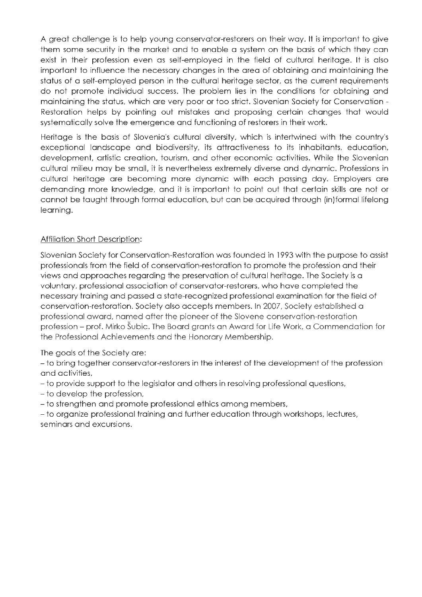A great challenge is to help young conservator-restorers on their way. It is important to give them some security in the market and to enable a system on the basis of which they can exist in their profession even as self-employed in the field of cultural heritage. It is also important to influence the necessary changes in the area of obtaining and maintaining the status of a self-employed person in the cultural heritage sector, as the current requirements do not promote individual success. The problem lies in the conditions for obtaining and maintaining the status, which are very poor or too strict. Slovenian Society for Conservation -Restoration helps by pointing out mistakes and proposing certain changes that would systematically solve the emergence and functioning of restorers in their work.

Heritage is the basis of Slovenia's cultural diversity, which is intertwined with the country's exceptional landscape and biodiversity, its attractiveness to its inhabitants, education, development, artistic creation, tourism, and other economic activities. While the Slovenian cultural milieu may be small, it is nevertheless extremely diverse and dynamic. Professions in cultural heritage are becoming more dynamic with each passing day. Employers are demanding more knowledge, and it is important to point out that certain skills are not or cannot be taught through formal education, but can be acquired through (in)formal lifelong learning.

#### Affiliation Short Description:

Slovenian Society for Conservation-Restoration was founded in 1993 with the purpose to assist professionals from the field of conservation-restoration to promote the profession and their views and approaches regarding the preservation of cultural heritage. The Society is a voluntary, professional association of conservator-restorers, who have completed the necessary training and passed a state-recognized professional examination for the field of conservation-restoration. Society also accepts members. In 2007, Society established a professional award, named after the pioneer of the Slovene conservation-restoration profession - prof. Mirko Subic. The Board grants an Award for Life Work, a Commendation for the Professional Achievements and the Honorary Membership.

The goals of the Society are:

- to bring together conservator-restorers in the interest of the development of the profession and activities,

- to provide support to the legislator and others in resolving professional questions,

- to develop the profession,

- to strengthen and promote professional ethics among members,

- to organize professional training and further education through workshops, lectures, seminars and excursions.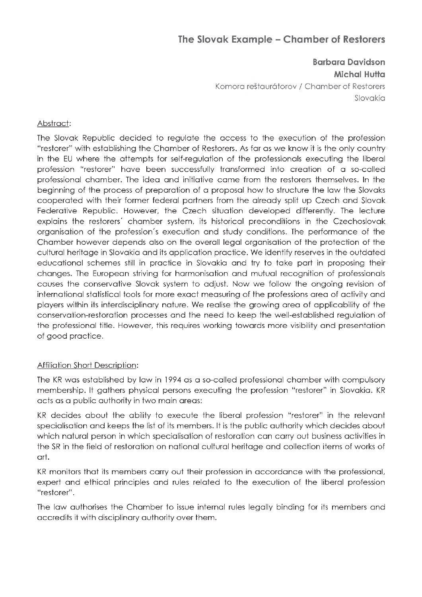# **The Slovak Example - Chamber of Restorers**

## **Barbara Davidson Michal Hutta**

Komora restaurdtorov / Chamber of Restorers Slovakia

#### Abstract:

The Slovak Republic decided to regulate the access to the execution of the profession "restorer" with establishing the Chamber of Restorers. As far as we know it is the only country in the EU where the attempts for self-regulation of the professionals executing the liberal profession "restorer" have been successfully transformed into creation of a so-called professional chamber. The idea and initiative came from the restorers themselves. In the beginning of the process of preparation of a proposal how to structure the law the Slovaks cooperated with their former federal partners from the already split up Czech and Slovak Federative Republic. However, the Czech situation developed differently. The lecture explains the restorers' chamber system, its historical preconditions in the Czechoslovak organisation of the profession's execution and study conditions. The performance of the Chamber however depends also on the overall legal organisation of the protection of the cultural heritage in Slovakia and its application practice. We identify reserves in the outdated educational schemes still in practice in Slovakia and try to take part in proposing their changes. The European striving for harmonisation and mutual recognition of professionals causes the conservative Slovak system to adjust. Now we follow the ongoing revision of international statistical tools for more exact measuring of the professions area of activity and players within its interdisciplinary nature. We realise the growing area of applicability of the conservation-restoration processes and the need to keep the well-established regulation of the professional title. However, this requires working towards more visibility and presentation of good practice.

#### Affiliation Short Description:

The KR was established by law in 1994 as a so-called professional chamber with compulsory membership. It gathers physical persons executing the profession "restorer" in Slovakia. KR acts as a public authority in two main areas:

KR decides about the ability to execute the liberal profession "restorer" in the relevant specialisation and keeps the list of its members. It is the public authority which decides about which natural person in which specialisation of restoration can carry out business activities in the SR in the field of restoration on national cultural heritage and collection items of works of art.

KR monitors that its members carry out their profession in accordance with the professional, expert and ethical principles and rules related to the execution of the liberal profession "restorer".

The law authorises the Chamber to issue internal rules legally binding for its members and accredits it with disciplinary authority over them.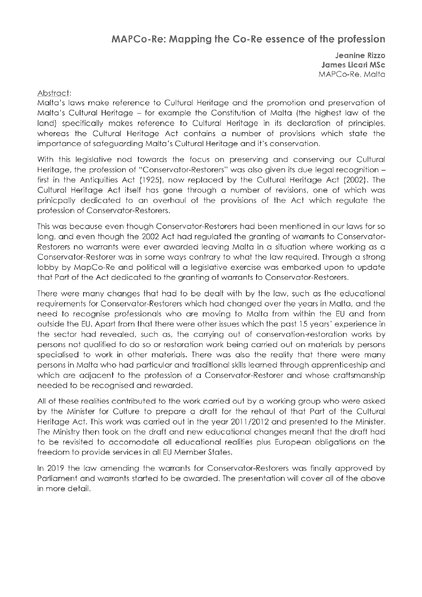## **MAPCo-Re: Mapping the Co-Re essence of the profession**

**Jeanine Rizzo James Licari MSc** MAPCo-Re, Malta

#### Abstract:

Malta's laws make reference to Cultural Heritage and the promotion and preservation of Malta's Cultural Heritage - for example the Constitution of Malta (the highest law of the land) specifically makes reference to Cultural Heritage in its declaration of principles, whereas the Cultural Heritage Act contains a number of provisions which state the importance of safeguarding Malta's Cultural Heritage and it's conservation.

With this legislative nod towards the focus on preserving and conserving our Cultural Heritage, the profession of "Conservator-Restorers" was also given its due legal recognition first in the Antiquities Act (1925), now replaced by the Cultural Heritage Act (2002). The Cultural Heritage Act itself has gone through a number of revisions, one of which was prinicpally dedicated to an overhaul of the provisions of the Act which regulate the profession of Conservator-Restorers.

This was because even though Conservator-Restorers had been mentioned in our laws for so long, and even though the 2002 Act had regulated the granting of warrants to Conservator-Restorers no warrants were ever awarded leaving Malta in a situation where working as a Conservator-Restorer was in some ways contrary to what the law required. Through a strong lobby by MapCo-Re and political will a legislative exercise was embarked upon to update that Part of the Act dedicated to the granting of warrants to Conservator-Restorers.

There were many changes that had to be dealt with by the law, such as the educational requirements for Conservator-Restorers which had changed over the years in Malta, and the need to recognise professionals who are moving to Malta from within the EU and from outside the EU. Apart from that there were other issues which the past 15 years' experience in the sector had revealed, such as, the carrying out of conservation-restoration works by persons not qualified to do so or restoration work being carried out on materials by persons specialised to work in other materials. There was also the reality that there were many persons in Malta who had particular and traditional skills learned through apprenticeship and which are adjacent to the profession of a Conservator-Restorer and whose craftsmanship needed to be recognised and rewarded.

All of these realities contributed to the work carried out by a working group who were asked by the Minister for Culture to prepare a draft for the rehaul of that Part of the Cultural Heritage Act. This work was carried out in the year 2011/2012 and presented to the Minister. The Ministry then took on the draft and new educational changes meant that the draft had to be revisited to accomodate all educational realities plus European obligations on the freedom to provide services in all EU Member States.

In 2019 the law amending the warrants for Conservator-Restorers was finally approved by Parliament and warrants started to be awarded. The presentation will cover all of the above in more detail.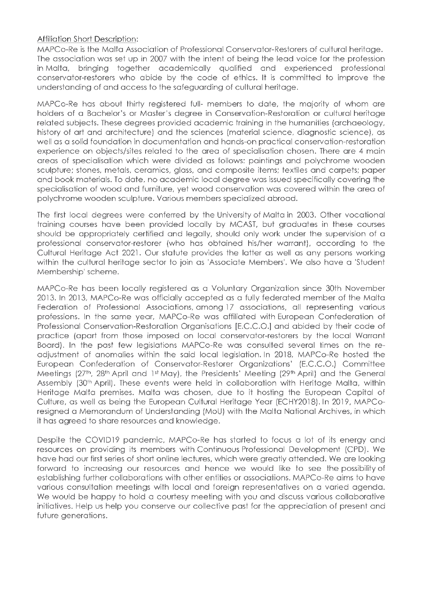#### Affiliation Short Description:

MAPCo-Re is the Malta Association of Professional Conservator-Restorers of cultural heritage. The association was set up in 2007 with the intent of being the lead voice for the profession in Malta, bringing together academically qualified and experienced professional conservator-restorers who abide by the code of ethics. It is committed to improve the understanding of and access to the safeguarding of cultural heritage.

MAPCo-Re has about thirty registered full- members to date, the majority of whom are holders of a Bachelor's or Master's degree in Conservation-Restoration or cultural heritage related subjects. These degrees provided academic training in the humanities (archaeology, history of art and architecture) and the sciences (material science, diagnostic science), as well as a solid foundation in documentation and hands-on practical conservation-restoration experience on objects/sites related to the area of specialisation chosen. There are 4 main areas of specialisation which were divided as follows: paintings and polychrome wooden sculpture; stones, metals, ceramics, glass, and composite items; textiles and carpets; paper and book materials. To date, no academic local degree was issued specifically covering the specialisation of wood and furniture, yet wood conservation was covered within the area of polychrome wooden sculpture. Various members specialized abroad.

The first local degrees were conferred by the University of Malta in 2003. Other vocational training courses have been provided locally by MCAST, but graduates in these courses should be appropriately certified and legally, should only work under the supervision of a professional conservator-restorer (who has obtained his/her warrant), according to the Cultural Heritage Act 2021. Our statute provides the latter as well as any persons working within the cultural heritage sector to join as 'Associate Members'. We also have a 'Student Membership' scheme.

MAPCo-Re has been locally registered as a Voluntary Organization since 30th November 2013. In 2013, MAPCo-Re was officially accepted as a fully federated member of the Malta Federation of Professional Associations, among 17 associations, all representing various professions. In the same year, MAPCo-Re was affiliated with European Confederation of Professional Conservation-Restoration Organisations [E.C.C.O.] and abided by their code of practice (apart from those imposed on local conservator-restorers by the local Warrant Board). In the past few legislations MAPCo-Re was consulted several times on the readjustment of anomalies within the said local legislation. In 2018, MAPCo-Re hosted the European Confederation of Conservator-Restorer Organizations' (E.C.C.O.) Committee Meetings (27th, 28th April and 1st May), the Presidents' Meeting (29th April) and the General Assembly (30<sup>th</sup> April). These events were held in collaboration with Heritage Malta, within Heritage Malta premises. Malta was chosen, due to it hosting the European Capital of Culture, as well as being the European Cultural Heritage Year (ECHY2018). In 2019, MAPCoresigned a Memorandum of Understanding (MoU) with the Malta National Archives, in which it has agreed to share resources and knowledge.

Despite the COVID19 pandemic, MAPCo-Re has started to focus a lot of its energy and resources on providing its members with Continuous Professional Development (CPD). We have had our first series of short online lectures, which were greatly attended. We are looking forward to increasing our resources and hence we would like to see the possibility of establishing further collaborations with other entities or associations. MAPCo-Re aims to have various consultation meetings with local and foreign representatives on a varied agenda. We would be happy to hold a courtesy meeting with you and discuss various collaborative initiatives. Help us help you conserve our collective past for the appreciation of present and future generations.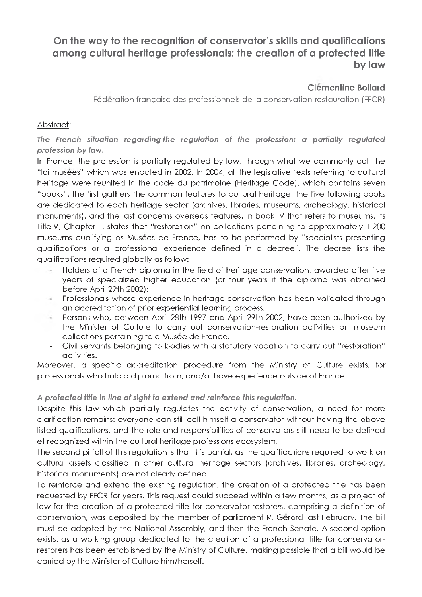# **On the way to the recognition of conservator's skills and qualifications among cultural heritage professionals: the creation of a protected title by law**

## **Clementine Bollard**

Federation francaise des professionnels de la conservation-restauration (FFCR)

#### Abstract:

*The French situation regarding the regulation of the profession: a partially regulated profession by law.*

In France, the profession is partially regulated by law, through what we commonly call the "loi musees" which was enacted in 2002. In 2004, all the legislative texts referring to cultural heritage were reunited in the code du patrimoine (Heritage Code), which contains seven "books": the first gathers the common features to cultural heritage, the five following books are dedicated to each heritage sector (archives, libraries, museums, archeology, historical monuments), and the last concerns overseas features. In book IV that refers to museums, its Title V, Chapter II, states that "restoration" on collections pertaining to approximately 1 200 museums qualifying as Musees de France, has to be performed by "specialists presenting qualifications or a professional experience defined in a decree". The decree lists the qualifications required globally as follow:

- Flolders of a French diploma in the field of heritage conservation, awarded after five years of specialized higher education (or four years if the diploma was obtained before April 29th 2002);
- Professionals whose experience in heritage conservation has been validated through an accreditation of prior experiential learning process;
- Persons who, between April 28th 1997 and April 29th 2002, have been authorized by the Minister of Culture to carry out conservation-restoration activities on museum collections pertaining to a Musee de France.
- Civil servants belonging to bodies with a statutory vocation to carry out "restoration" activities.

Moreover, a specific accreditation procedure from the Ministry of Culture exists, for professionals who hold a diploma from, and/or have experience outside of France.

#### *A protected title in line of sight to extend and reinforce this regulation.*

Despite this law which partially regulates the activity of conservation, a need for more clarification remains: everyone can still call himself a conservator without having the above listed qualifications, and the role and responsibilities of conservators still need to be defined et recognized within the cultural heritage professions ecosystem.

The second pitfall of this regulation is that it is partial, as the qualifications required to work on cultural assets classified in other cultural heritage sectors (archives, libraries, archeology, historical monuments) are not clearly defined.

To reinforce and extend the existing regulation, the creation of a protected title has been requested by FFCR for years. This request could succeed within a few months, as a project of law for the creation of a protected title for conservator-restorers, comprising a definition of conservation, was deposited by the member of parliament R. Gerard last February. The bill must be adopted by the National Assembly, and then the French Senate. A second option exists, as a working group dedicated to the creation of a professional title for conservatorrestorers has been established by the Ministry of Culture, making possible that a bill would be carried by the Minister of Culture him/herself.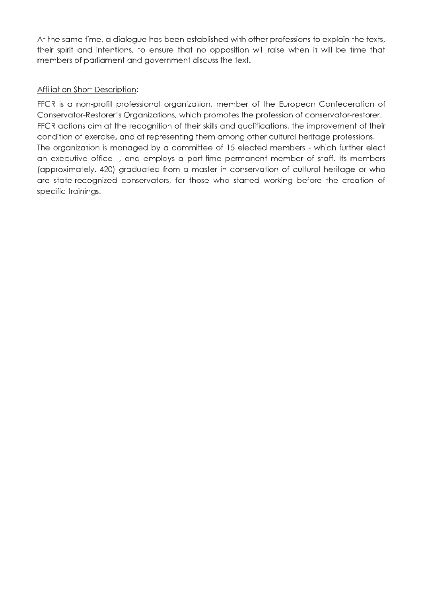At the same time, a dialogue has been established with other professions to explain the texts, their spirit and intentions, to ensure that no opposition will raise when it will be time that members of parliament and government discuss the text.

#### Affiliation Short Description:

FFCR is a non-profit professional organization, member of the European Confederation of Conservator-Restorer's Organizations, which promotes the profession of conservator-restorer. FFCR actions aim at the recognition of their skills and qualifications, the improvement of their condition of exercise, and at representing them among other cultural heritage professions. The organization is managed by a committee of 15 elected members - which further elect an executive office -, and employs a part-time permanent member of staff. Its members (approximately. 420) graduated from a master in conservation of cultural heritage or who are state-recognized conservators, for those who started working before the creation of specific trainings.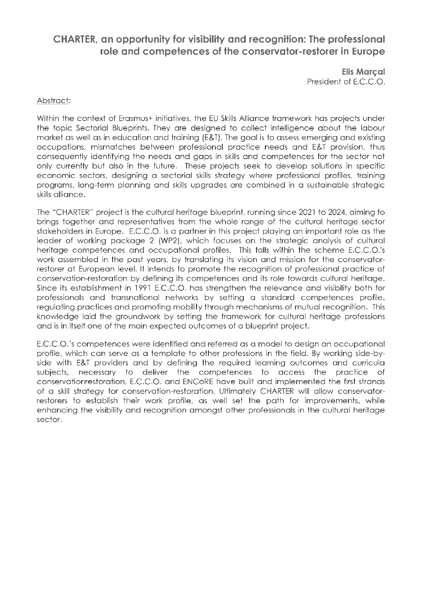## **CHARTER, an opportunity for visibility and recognition: The professional role and competences of the conservator-restorer in Europe**

**Elis ΜαΓςαΙ** President of E.C.C.O.

#### Abstract:

Within the context of Erasmus+ initiatives, the EU Skills Alliance framework has projects under the topic Sectorial Blueprints. They are designed to collect intelligence about the labour market as well as in education and training (E&T). The goal is to assess emerging and existing occupations, mismatches between professional practice needs and E&T provision, thus consequently identifying the needs and gaps in skills and competences for the sector not only currently but also in the future. These projects seek to develop solutions in specific economic sectors, designing a sectorial skills strategy where professional profiles, training programs, long-term planning and skills upgrades are combined in a sustainable strategic skills alliance.

The "CHARTER" project is the cultural heritage blueprint, running since 2021 to 2024, aiming to brings together and representatives from the whole range of the cultural heritage sector stakeholders in Europe. E.C.C.O. is a partner in this project playing an important role as the leader of working package 2 (WP2), which focuses on the strategic analysis of cultural heritage competences and occupational profiles. This falls within the scheme E.C.C.O.'s work assembled in the past years, by translating its vision and mission for the conservatorrestorer at European level. It intends to promote the recognition of professional practice of conservation-restoration by defining its competences and its role towards cultural heritage. Since its establishment in 1991 E.C.C.O. has strengthen the relevance and visibility both for professionals and transnational networks by setting a standard competences profile, regulating practices and promoting mobility through mechanisms of mutual recognition. This knowledge laid the groundwork by setting the framework for cultural heritage professions and is in itself one of the main expected outcomes of a blueprint project.

E.C.C.O.'s competences were identified and referred as a model to design an occupational profile, which can serve as a template to other professions in the field. By working side-byside with E&T providers and by defining the required learning outcomes and curricula subjects, necessary to deliver the competences to access the practice of conservationrestoration, E.C.C.O. and ENCoRE have built and implemented the first strands of a skill strategy for conservation-restoration. Ultimately CHARTER will allow conservatorrestorers to establish their work profile, as well set the path for improvements, while enhancing the visibility and recognition amongst other professionals in the cultural heritage sector.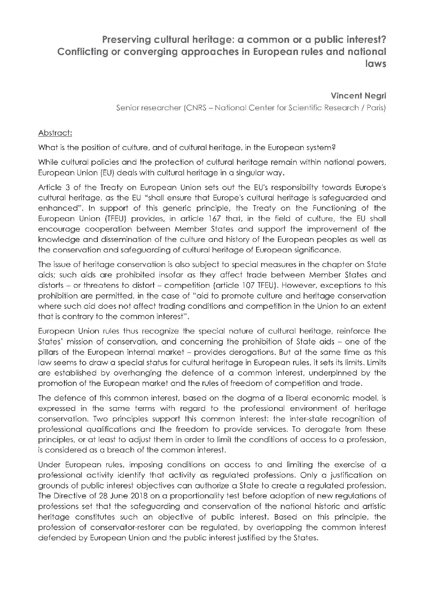# **Preserving cultural heritage: a common or a public interest? Conflicting or converging approaches in European rules and national laws**

**Vincent Negri**

Senior researcher (CNRS - National Center for Scientific Research / Paris)

#### Abstract:

What is the position of culture, and of cultural heritage, in the European system?

While cultural policies and the protection of cultural heritage remain within national powers, European Union (EU) deals with cultural heritage in a singular way.

Article 3 of the Treaty on European Union sets out the EU's responsibility towards Europe's cultural heritage, as the EU "shall ensure that Europe's cultural heritage is safeguarded and enhanced". In support of this generic principle, the Treaty on the Functioning of the European Union (TFEU) provides, in article 167 that, in the field of culture, the EU shall encourage cooperation between Member States and support the improvement of the knowledge and dissemination of the culture and history of the European peoples as well as the conservation and safeguarding of cultural heritage of European significance.

The issue of heritage conservation is also subject to special measures in the chapter on State aids; such aids are prohibited insofar as they affect trade between Member States and distorts - or threatens to distort - competition (article 107 TFEU). However, exceptions to this prohibition are permitted, in the case of "aid to promote culture and heritage conservation where such aid does not affect trading conditions and competition in the Union to an extent that is contrary to the common interest".

European Union rules thus recognize the special nature of cultural heritage, reinforce the States' mission of conservation, and concerning the prohibition of State aids - one of the pillars of the European internal market - provides derogations. But at the same time as this law seems to draw a special status for cultural heritage in European rules, it sets its limits. Limits are established by overhanging the defence of a common interest, underpinned by the promotion of the European market and the rules of freedom of competition and trade.

The defence of this common interest, based on the dogma of a liberal economic model, is expressed in the same terms with regard to the professional environment of heritage conservation. Two principles support this common interest: the inter-state recognition of professional qualifications and the freedom to provide services. To derogate from these principles, or at least to adjust them in order to limit the conditions of access to a profession, is considered as a breach of the common interest.

Under European rules, imposing conditions on access to and limiting the exercise of a professional activity identify that activity as regulated professions. Only a justification on grounds of public interest objectives can authorize a State to create a regulated profession. The Directive of 28 June 2018 on a proportionality test before adoption of new regulations of professions set that the safeguarding and conservation of the national historic and artistic heritage constitutes such an objective of public interest. Based on this principle, the profession of conservator-restorer can be regulated, by overlapping the common interest defended by European Union and the public interest justified by the States.